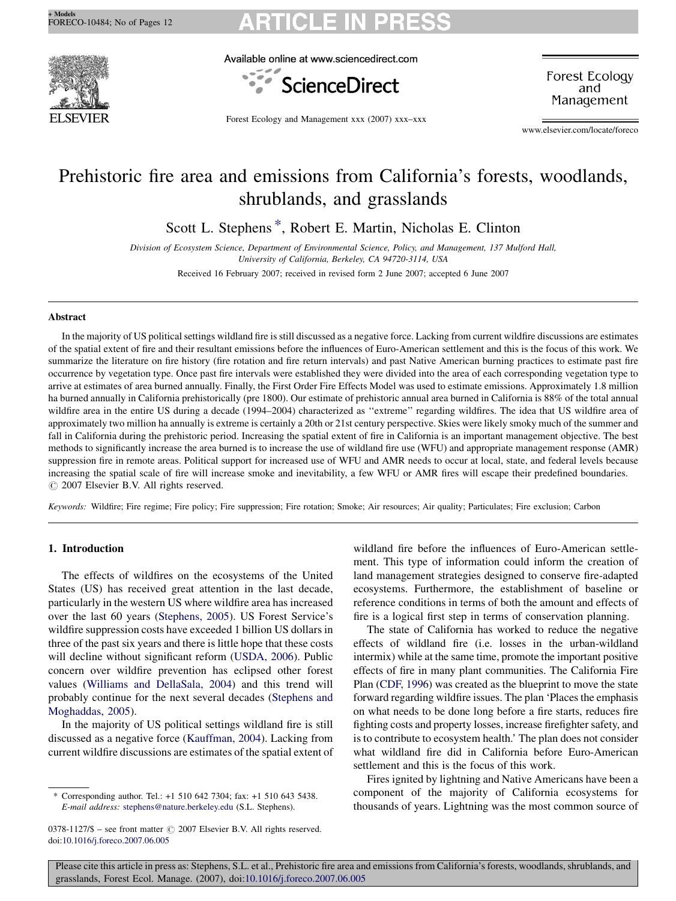





Forest Ecology and Management

Forest Ecology and Management xxx (2007) xxx–xxx

www.elsevier.com/locate/foreco

## Prehistoric fire area and emissions from California's forests, woodlands, shrublands, and grasslands

Scott L. Stephens \*, Robert E. Martin, Nicholas E. Clinton

Division of Ecosystem Science, Department of Environmental Science, Policy, and Management, 137 Mulford Hall, University of California, Berkeley, CA 94720-3114, USA

Received 16 February 2007; received in revised form 2 June 2007; accepted 6 June 2007

#### **Abstract**

In the majority of US political settings wildland fire is still discussed as a negative force. Lacking from current wildfire discussions are estimates of the spatial extent of fire and their resultant emissions before the influences of Euro-American settlement and this is the focus of this work. We summarize the literature on fire history (fire rotation and fire return intervals) and past Native American burning practices to estimate past fire occurrence by vegetation type. Once past fire intervals were established they were divided into the area of each corresponding vegetation type to arrive at estimates of area burned annually. Finally, the First Order Fire Effects Model was used to estimate emissions. Approximately 1.8 million ha burned annually in California prehistorically (pre 1800). Our estimate of prehistoric annual area burned in California is 88% of the total annual wildfire area in the entire US during a decade (1994–2004) characterized as "extreme" regarding wildfires. The idea that US wildfire area of approximately two million ha annually is extreme is certainly a 20th or 21st century perspective. Skies were likely smoky much of the summer and fall in California during the prehistoric period. Increasing the spatial extent of fire in California is an important management objective. The best methods to significantly increase the area burned is to increase the use of wildland fire use (WFU) and appropriate management response (AMR) suppression fire in remote areas. Political support for increased use of WFU and AMR needs to occur at local, state, and federal levels because increasing the spatial scale of fire will increase smoke and inevitability, a few WFU or AMR fires will escape their predefined boundaries.  $\odot$  2007 Elsevier B.V. All rights reserved.

Keywords: Wildfire; Fire regime; Fire policy; Fire suppression; Fire rotation; Smoke; Air resources; Air quality; Particulates; Fire exclusion; Carbon

#### 1. Introduction

The effects of wildfires on the ecosystems of the United States (US) has received great attention in the last decade, particularly in the western US where wildfire area has increased over the last 60 years ([Stephens, 2005](#page-10-0)). US Forest Service's wildfire suppression costs have exceeded 1 billion US dollars in three of the past six years and there is little hope that these costs will decline without significant reform [\(USDA, 2006\)](#page-11-0). Public concern over wildfire prevention has eclipsed other forest values [\(Williams and DellaSala, 2004](#page-11-0)) and this trend will probably continue for the next several decades ([Stephens and](#page-10-0) [Moghaddas, 2005\)](#page-10-0).

In the majority of US political settings wildland fire is still discussed as a negative force ([Kauffman, 2004](#page-9-0)). Lacking from current wildfire discussions are estimates of the spatial extent of wildland fire before the influences of Euro-American settlement. This type of information could inform the creation of land management strategies designed to conserve fire-adapted ecosystems. Furthermore, the establishment of baseline or reference conditions in terms of both the amount and effects of fire is a logical first step in terms of conservation planning.

The state of California has worked to reduce the negative effects of wildland fire (i.e. losses in the urban-wildland intermix) while at the same time, promote the important positive effects of fire in many plant communities. The California Fire Plan ([CDF, 1996\)](#page-9-0) was created as the blueprint to move the state forward regarding wildfire issues. The plan 'Places the emphasis on what needs to be done long before a fire starts, reduces fire fighting costs and property losses, increase firefighter safety, and is to contribute to ecosystem health.' The plan does not consider what wildland fire did in California before Euro-American settlement and this is the focus of this work.

Fires ignited by lightning and Native Americans have been a component of the majority of California ecosystems for thousands of years. Lightning was the most common source of

Corresponding author. Tel.: +1 510 642 7304; fax: +1 510 643 5438. E-mail address: [stephens@nature.berkeley.edu](mailto:stephens@nature.berkeley.edu) (S.L. Stephens).

 $0378-1127/\$$  – see front matter  $\odot$  2007 Elsevier B.V. All rights reserved. doi:[10.1016/j.foreco.2007.06.005](http://dx.doi.org/10.1016/j.foreco.2007.06.005)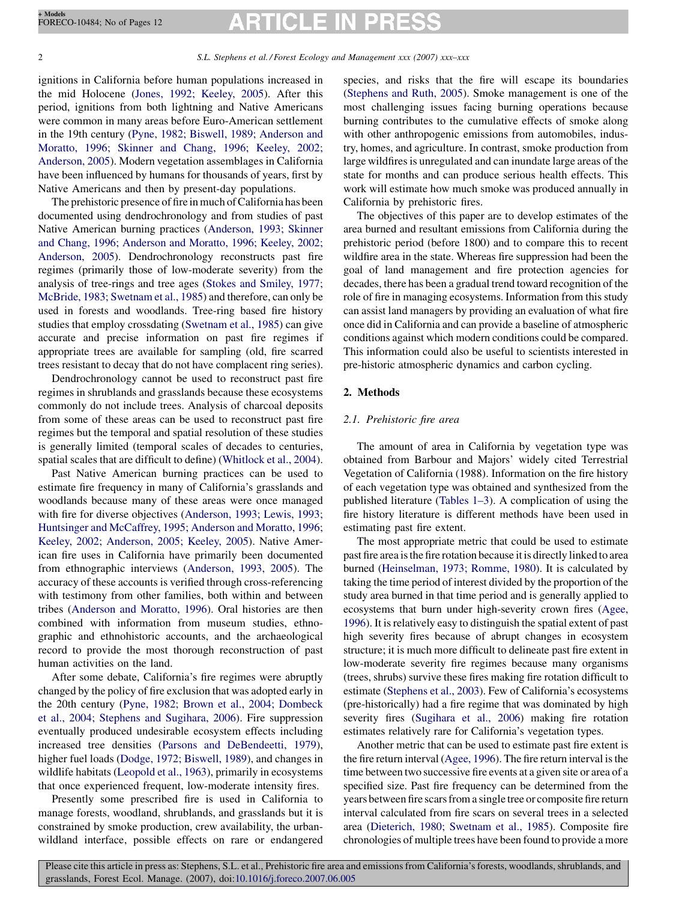## ARTICLE IN

ignitions in California before human populations increased in the mid Holocene [\(Jones, 1992; Keeley, 2005\)](#page-9-0). After this period, ignitions from both lightning and Native Americans were common in many areas before Euro-American settlement in the 19th century [\(Pyne, 1982; Biswell, 1989; Anderson and](#page-10-0) [Moratto, 1996; Skinner and Chang, 1996; Keeley, 2002;](#page-10-0) [Anderson, 2005](#page-10-0)). Modern vegetation assemblages in California have been influenced by humans for thousands of years, first by Native Americans and then by present-day populations.

The prehistoric presence of fire in much of California has been documented using dendrochronology and from studies of past Native American burning practices [\(Anderson, 1993; Skinner](#page-9-0) [and Chang, 1996; Anderson and Moratto, 1996; Keeley, 2002;](#page-9-0) [Anderson, 2005\)](#page-9-0). Dendrochronology reconstructs past fire regimes (primarily those of low-moderate severity) from the analysis of tree-rings and tree ages ([Stokes and Smiley, 1977;](#page-11-0) [McBride, 1983; Swetnam et al., 1985\)](#page-11-0) and therefore, can only be used in forests and woodlands. Tree-ring based fire history studies that employ crossdating [\(Swetnam et al., 1985](#page-11-0)) can give accurate and precise information on past fire regimes if appropriate trees are available for sampling (old, fire scarred trees resistant to decay that do not have complacent ring series).

Dendrochronology cannot be used to reconstruct past fire regimes in shrublands and grasslands because these ecosystems commonly do not include trees. Analysis of charcoal deposits from some of these areas can be used to reconstruct past fire regimes but the temporal and spatial resolution of these studies is generally limited (temporal scales of decades to centuries, spatial scales that are difficult to define) [\(Whitlock et al., 2004\)](#page-11-0).

Past Native American burning practices can be used to estimate fire frequency in many of California's grasslands and woodlands because many of these areas were once managed with fire for diverse objectives ([Anderson, 1993; Lewis, 1993;](#page-9-0) [Huntsinger and McCaffrey, 1995; Anderson and Moratto, 1996;](#page-9-0) [Keeley, 2002; Anderson, 2005; Keeley, 2005](#page-9-0)). Native American fire uses in California have primarily been documented from ethnographic interviews ([Anderson, 1993, 2005](#page-9-0)). The accuracy of these accounts is verified through cross-referencing with testimony from other families, both within and between tribes [\(Anderson and Moratto, 1996](#page-9-0)). Oral histories are then combined with information from museum studies, ethnographic and ethnohistoric accounts, and the archaeological record to provide the most thorough reconstruction of past human activities on the land.

After some debate, California's fire regimes were abruptly changed by the policy of fire exclusion that was adopted early in the 20th century ([Pyne, 1982; Brown et al., 2004; Dombeck](#page-10-0) [et al., 2004; Stephens and Sugihara, 2006\)](#page-10-0). Fire suppression eventually produced undesirable ecosystem effects including increased tree densities [\(Parsons and DeBendeetti, 1979\)](#page-10-0), higher fuel loads [\(Dodge, 1972; Biswell, 1989\)](#page-9-0), and changes in wildlife habitats [\(Leopold et al., 1963](#page-10-0)), primarily in ecosystems that once experienced frequent, low-moderate intensity fires.

Presently some prescribed fire is used in California to manage forests, woodland, shrublands, and grasslands but it is constrained by smoke production, crew availability, the urbanwildland interface, possible effects on rare or endangered species, and risks that the fire will escape its boundaries [\(Stephens and Ruth, 2005](#page-10-0)). Smoke management is one of the most challenging issues facing burning operations because burning contributes to the cumulative effects of smoke along with other anthropogenic emissions from automobiles, industry, homes, and agriculture. In contrast, smoke production from large wildfires is unregulated and can inundate large areas of the state for months and can produce serious health effects. This work will estimate how much smoke was produced annually in California by prehistoric fires.

The objectives of this paper are to develop estimates of the area burned and resultant emissions from California during the prehistoric period (before 1800) and to compare this to recent wildfire area in the state. Whereas fire suppression had been the goal of land management and fire protection agencies for decades, there has been a gradual trend toward recognition of the role of fire in managing ecosystems. Information from this study can assist land managers by providing an evaluation of what fire once did in California and can provide a baseline of atmospheric conditions against which modern conditions could be compared. This information could also be useful to scientists interested in pre-historic atmospheric dynamics and carbon cycling.

#### 2. Methods

#### 2.1. Prehistoric fire area

The amount of area in California by vegetation type was obtained from Barbour and Majors' widely cited Terrestrial Vegetation of California (1988). Information on the fire history of each vegetation type was obtained and synthesized from the published literature [\(Tables 1–3](#page-2-0)). A complication of using the fire history literature is different methods have been used in estimating past fire extent.

The most appropriate metric that could be used to estimate past fire area is the fire rotation because it is directly linked to area burned ([Heinselman, 1973; Romme, 1980](#page-9-0)). It is calculated by taking the time period of interest divided by the proportion of the study area burned in that time period and is generally applied to ecosystems that burn under high-severity crown fires [\(Agee,](#page-9-0) [1996](#page-9-0)). It is relatively easy to distinguish the spatial extent of past high severity fires because of abrupt changes in ecosystem structure; it is much more difficult to delineate past fire extent in low-moderate severity fire regimes because many organisms (trees, shrubs) survive these fires making fire rotation difficult to estimate [\(Stephens et al., 2003](#page-10-0)). Few of California's ecosystems (pre-historically) had a fire regime that was dominated by high severity fires [\(Sugihara et al., 2006](#page-11-0)) making fire rotation estimates relatively rare for California's vegetation types.

Another metric that can be used to estimate past fire extent is the fire return interval ([Agee, 1996\)](#page-9-0). The fire return interval is the time between two successive fire events at a given site or area of a specified size. Past fire frequency can be determined from the years between fire scars from a single tree or composite fire return interval calculated from fire scars on several trees in a selected area [\(Dieterich, 1980; Swetnam et al., 1985\)](#page-9-0). Composite fire chronologies of multiple trees have been found to provide a more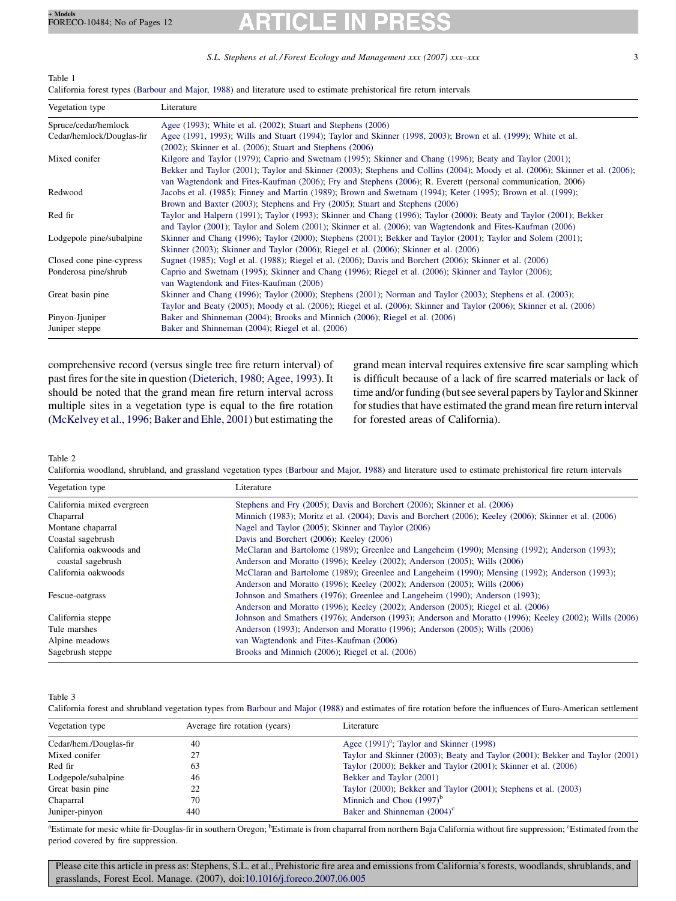<span id="page-2-0"></span>Table 1

|  |  |  | California forest types (Barbour and Major, 1988) and literature used to estimate prehistorical fire return intervals |
|--|--|--|-----------------------------------------------------------------------------------------------------------------------|
|--|--|--|-----------------------------------------------------------------------------------------------------------------------|

| Vegetation type           | Literature                                                                                                                    |
|---------------------------|-------------------------------------------------------------------------------------------------------------------------------|
| Spruce/cedar/hemlock      | Agee $(1993)$ ; White et al. $(2002)$ ; Stuart and Stephens $(2006)$                                                          |
| Cedar/hemlock/Douglas-fir | Agee (1991, 1993); Wills and Stuart (1994); Taylor and Skinner (1998, 2003); Brown et al. (1999); White et al.                |
|                           | $(2002)$ ; Skinner et al. $(2006)$ ; Stuart and Stephens $(2006)$                                                             |
| Mixed conifer             | Kilgore and Taylor (1979); Caprio and Swetnam (1995); Skinner and Chang (1996); Beaty and Taylor (2001);                      |
|                           | Bekker and Taylor (2001); Taylor and Skinner (2003); Stephens and Collins (2004); Moody et al. (2006); Skinner et al. (2006); |
|                           | van Wagtendonk and Fites-Kaufman (2006); Fry and Stephens (2006); R. Everett (personal communication, 2006)                   |
| Redwood                   | Jacobs et al. (1985); Finney and Martin (1989); Brown and Swetnam (1994); Keter (1995); Brown et al. (1999);                  |
|                           | Brown and Baxter (2003); Stephens and Fry (2005); Stuart and Stephens (2006)                                                  |
| Red fir                   | Taylor and Halpern (1991); Taylor (1993); Skinner and Chang (1996); Taylor (2000); Beaty and Taylor (2001); Bekker            |
|                           | and Taylor (2001); Taylor and Solem (2001); Skinner et al. (2006); van Wagtendonk and Fites-Kaufman (2006)                    |
| Lodgepole pine/subalpine  | Skinner and Chang (1996); Taylor (2000); Stephens (2001); Bekker and Taylor (2001); Taylor and Solem (2001);                  |
|                           | Skinner (2003); Skinner and Taylor (2006); Riegel et al. (2006); Skinner et al. (2006)                                        |
| Closed cone pine-cypress  | Sugnet (1985); Vogl et al. (1988); Riegel et al. (2006); Davis and Borchert (2006); Skinner et al. (2006)                     |
| Ponderosa pine/shrub      | Caprio and Swetnam (1995); Skinner and Chang (1996); Riegel et al. (2006); Skinner and Taylor (2006);                         |
|                           | van Wagtendonk and Fites-Kaufman (2006)                                                                                       |
| Great basin pine          | Skinner and Chang (1996); Taylor (2000); Stephens (2001); Norman and Taylor (2003); Stephens et al. (2003);                   |
|                           | Taylor and Beaty (2005); Moody et al. (2006); Riegel et al. (2006); Skinner and Taylor (2006); Skinner et al. (2006)          |
| Pinyon-Juniper            | Baker and Shinneman (2004); Brooks and Minnich (2006); Riegel et al. (2006)                                                   |
| Juniper steppe            | Baker and Shinneman (2004); Riegel et al. (2006)                                                                              |

comprehensive record (versus single tree fire return interval) of past fires for the site in question ([Dieterich, 1980; Agee, 1993\)](#page-9-0). It should be noted that the grand mean fire return interval across multiple sites in a vegetation type is equal to the fire rotation ([McKelvey et al., 1996; Baker and Ehle, 2001](#page-10-0)) but estimating the grand mean interval requires extensive fire scar sampling which is difficult because of a lack of fire scarred materials or lack of time and/or funding (but see several papers by Taylor and Skinner for studies that have estimated the grand mean fire return interval for forested areas of California).

Table 2

California woodland, shrubland, and grassland vegetation types [\(Barbour and Major, 1988\)](#page-9-0) and literature used to estimate prehistorical fire return intervals

| Vegetation type            | Literature                                                                                             |
|----------------------------|--------------------------------------------------------------------------------------------------------|
| California mixed evergreen | Stephens and Fry (2005); Davis and Borchert (2006); Skinner et al. (2006)                              |
| Chaparral                  | Minnich (1983); Moritz et al. (2004); Davis and Borchert (2006); Keeley (2006); Skinner et al. (2006)  |
| Montane chaparral          | Nagel and Taylor (2005); Skinner and Taylor (2006)                                                     |
| Coastal sagebrush          | Davis and Borchert (2006); Keeley (2006)                                                               |
| California oakwoods and    | McClaran and Bartolome (1989); Greenlee and Langeheim (1990); Mensing (1992); Anderson (1993);         |
| coastal sagebrush          | Anderson and Moratto (1996); Keeley (2002); Anderson (2005); Wills (2006)                              |
| California oakwoods        | McClaran and Bartolome (1989); Greenlee and Langeheim (1990); Mensing (1992); Anderson (1993);         |
|                            | Anderson and Moratto (1996); Keeley (2002); Anderson (2005); Wills (2006)                              |
| Fescue-oatgrass            | Johnson and Smathers (1976); Greenlee and Langeheim (1990); Anderson (1993);                           |
|                            | Anderson and Moratto (1996); Keeley (2002); Anderson (2005); Riegel et al. (2006)                      |
| California steppe          | Johnson and Smathers (1976); Anderson (1993); Anderson and Moratto (1996); Keeley (2002); Wills (2006) |
| Tule marshes               | Anderson (1993); Anderson and Moratto (1996); Anderson (2005); Wills (2006)                            |
| Alpine meadows             | van Wagtendonk and Fites-Kaufman (2006)                                                                |
| Sagebrush steppe           | Brooks and Minnich (2006); Riegel et al. (2006)                                                        |

Table 3

California forest and shrubland vegetation types from [Barbour and Major \(1988\)](#page-9-0) and estimates of fire rotation before the influences of Euro-American settlement

| Vegetation type        | Average fire rotation (years) | Literature                                                                   |
|------------------------|-------------------------------|------------------------------------------------------------------------------|
| Cedar/hem./Douglas-fir | 40                            | Agee $(1991)^{a}$ ; Taylor and Skinner (1998)                                |
| Mixed conifer          | 27                            | Taylor and Skinner (2003); Beaty and Taylor (2001); Bekker and Taylor (2001) |
| Red fir                | 63                            | Taylor (2000); Bekker and Taylor (2001); Skinner et al. (2006)               |
| Lodgepole/subalpine    | 46                            | Bekker and Taylor (2001)                                                     |
| Great basin pine       | 22                            | Taylor (2000); Bekker and Taylor (2001); Stephens et al. (2003)              |
| Chaparral              | 70                            | Minnich and Chou $(1997)^b$                                                  |
| Juniper-pinyon         | 440                           | Baker and Shinneman $(2004)^c$                                               |

<sup>a</sup>Estimate for mesic white fir-Douglas-fir in southern Oregon; <sup>b</sup>Estimate is from chaparral from northern Baja California without fire suppression; <sup>c</sup>Estimated from the period covered by fire suppression.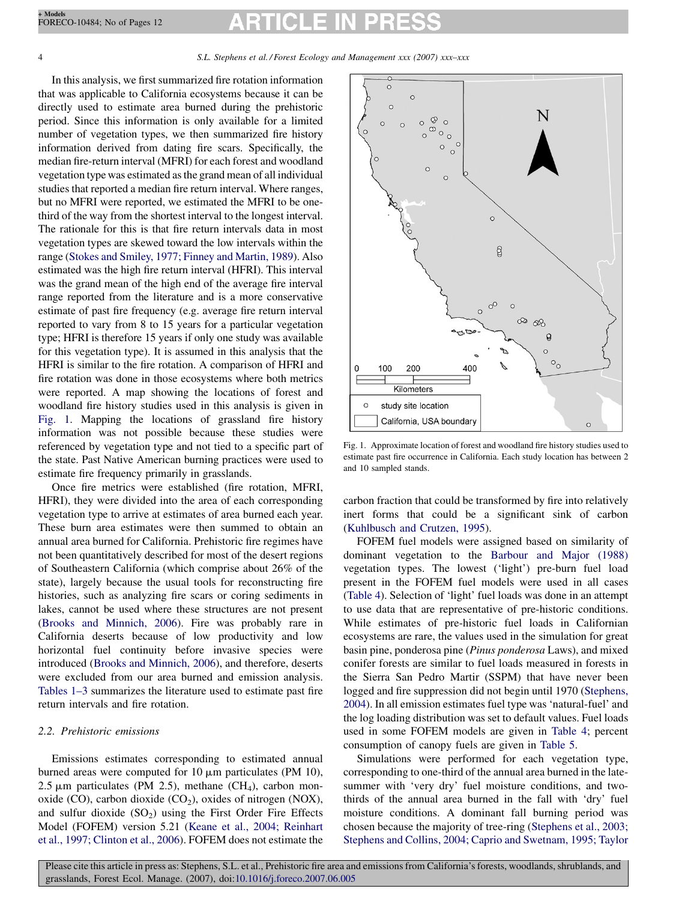In this analysis, we first summarized fire rotation information that was applicable to California ecosystems because it can be directly used to estimate area burned during the prehistoric period. Since this information is only available for a limited number of vegetation types, we then summarized fire history information derived from dating fire scars. Specifically, the median fire-return interval (MFRI) for each forest and woodland vegetation type was estimated as the grand mean of all individual studies that reported a median fire return interval. Where ranges, but no MFRI were reported, we estimated the MFRI to be onethird of the way from the shortest interval to the longest interval. The rationale for this is that fire return intervals data in most vegetation types are skewed toward the low intervals within the range ([Stokes and Smiley, 1977; Finney and Martin, 1989](#page-11-0)). Also estimated was the high fire return interval (HFRI). This interval was the grand mean of the high end of the average fire interval range reported from the literature and is a more conservative estimate of past fire frequency (e.g. average fire return interval reported to vary from 8 to 15 years for a particular vegetation type; HFRI is therefore 15 years if only one study was available for this vegetation type). It is assumed in this analysis that the HFRI is similar to the fire rotation. A comparison of HFRI and fire rotation was done in those ecosystems where both metrics were reported. A map showing the locations of forest and woodland fire history studies used in this analysis is given in Fig. 1. Mapping the locations of grassland fire history information was not possible because these studies were referenced by vegetation type and not tied to a specific part of the state. Past Native American burning practices were used to estimate fire frequency primarily in grasslands.

Once fire metrics were established (fire rotation, MFRI, HFRI), they were divided into the area of each corresponding vegetation type to arrive at estimates of area burned each year. These burn area estimates were then summed to obtain an annual area burned for California. Prehistoric fire regimes have not been quantitatively described for most of the desert regions of Southeastern California (which comprise about 26% of the state), largely because the usual tools for reconstructing fire histories, such as analyzing fire scars or coring sediments in lakes, cannot be used where these structures are not present ([Brooks and Minnich, 2006](#page-9-0)). Fire was probably rare in California deserts because of low productivity and low horizontal fuel continuity before invasive species were introduced ([Brooks and Minnich, 2006](#page-9-0)), and therefore, deserts were excluded from our area burned and emission analysis. [Tables 1–3](#page-2-0) summarizes the literature used to estimate past fire return intervals and fire rotation.

### 2.2. Prehistoric emissions

Emissions estimates corresponding to estimated annual burned areas were computed for 10  $\mu$ m particulates (PM 10), 2.5  $\mu$ m particulates (PM 2.5), methane (CH<sub>4</sub>), carbon monoxide (CO), carbon dioxide (CO<sub>2</sub>), oxides of nitrogen (NOX), and sulfur dioxide  $(SO<sub>2</sub>)$  using the First Order Fire Effects Model (FOFEM) version 5.21 [\(Keane et al., 2004; Reinhart](#page-9-0) [et al., 1997; Clinton et al., 2006](#page-9-0)). FOFEM does not estimate the



Fig. 1. Approximate location of forest and woodland fire history studies used to estimate past fire occurrence in California. Each study location has between 2 and 10 sampled stands.

carbon fraction that could be transformed by fire into relatively inert forms that could be a significant sink of carbon ([Kuhlbusch and Crutzen, 1995\)](#page-10-0).

FOFEM fuel models were assigned based on similarity of dominant vegetation to the [Barbour and Major \(1988\)](#page-9-0) vegetation types. The lowest ('light') pre-burn fuel load present in the FOFEM fuel models were used in all cases ([Table 4](#page-4-0)). Selection of 'light' fuel loads was done in an attempt to use data that are representative of pre-historic conditions. While estimates of pre-historic fuel loads in Californian ecosystems are rare, the values used in the simulation for great basin pine, ponderosa pine (Pinus ponderosa Laws), and mixed conifer forests are similar to fuel loads measured in forests in the Sierra San Pedro Martir (SSPM) that have never been logged and fire suppression did not begin until 1970 [\(Stephens,](#page-10-0) [2004\)](#page-10-0). In all emission estimates fuel type was 'natural-fuel' and the log loading distribution was set to default values. Fuel loads used in some FOFEM models are given in [Table 4](#page-4-0); percent consumption of canopy fuels are given in [Table 5.](#page-4-0)

Simulations were performed for each vegetation type, corresponding to one-third of the annual area burned in the latesummer with 'very dry' fuel moisture conditions, and twothirds of the annual area burned in the fall with 'dry' fuel moisture conditions. A dominant fall burning period was chosen because the majority of tree-ring [\(Stephens et al., 2003;](#page-10-0) [Stephens and Collins, 2004; Caprio and Swetnam, 1995; Taylor](#page-10-0)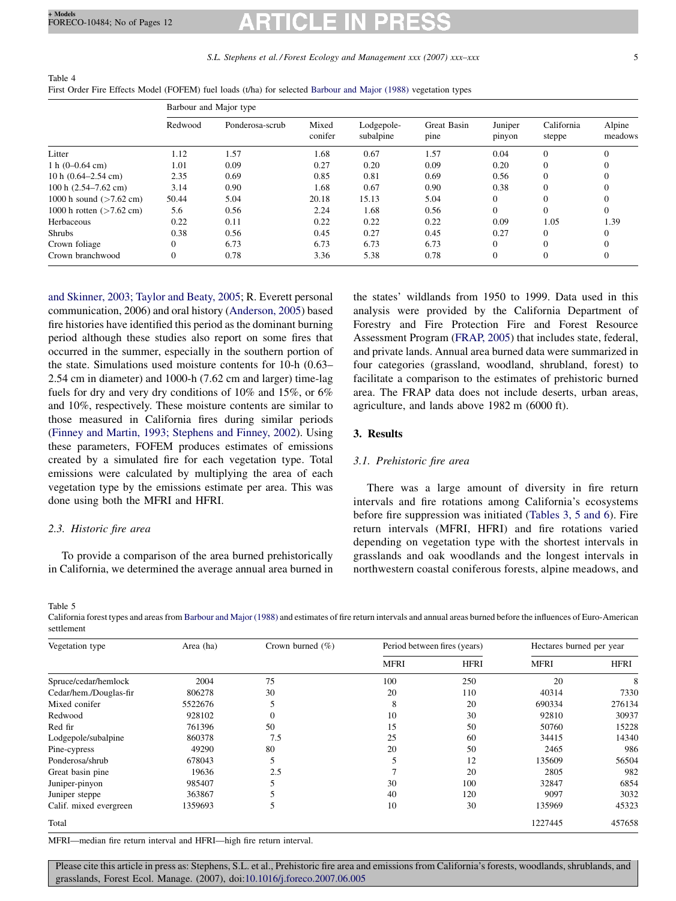<span id="page-4-0"></span>

| Table 4                                                                                                         |
|-----------------------------------------------------------------------------------------------------------------|
| First Order Fire Effects Model (FOFEM) fuel loads (t/ha) for selected Barbour and Major (1988) vegetation types |

|                            | Barbour and Major type |                 |                  |                         |                     |                   |                      |                   |  |
|----------------------------|------------------------|-----------------|------------------|-------------------------|---------------------|-------------------|----------------------|-------------------|--|
|                            | Redwood                | Ponderosa-scrub | Mixed<br>conifer | Lodgepole-<br>subalpine | Great Basin<br>pine | Juniper<br>pinyon | California<br>steppe | Alpine<br>meadows |  |
| Litter                     | 1.12                   | 1.57            | 1.68             | 0.67                    | 1.57                | 0.04              | $\Omega$             | $\Omega$          |  |
| 1 h $(0-0.64$ cm)          | 1.01                   | 0.09            | 0.27             | 0.20                    | 0.09                | 0.20              | $\Omega$             |                   |  |
| 10 h $(0.64 - 2.54$ cm)    | 2.35                   | 0.69            | 0.85             | 0.81                    | 0.69                | 0.56              | $\Omega$             |                   |  |
| 100 h $(2.54 - 7.62$ cm)   | 3.14                   | 0.90            | 1.68             | 0.67                    | 0.90                | 0.38              | $\Omega$             |                   |  |
| 1000 h sound $(>7.62$ cm)  | 50.44                  | 5.04            | 20.18            | 15.13                   | 5.04                | $\Omega$          | $\Omega$             |                   |  |
| 1000 h rotten $(>7.62$ cm) | 5.6                    | 0.56            | 2.24             | 1.68                    | 0.56                | $\Omega$          | $\Omega$             | $\Omega$          |  |
| Herbaceous                 | 0.22                   | 0.11            | 0.22             | 0.22                    | 0.22                | 0.09              | 1.05                 | 1.39              |  |
| <b>Shrubs</b>              | 0.38                   | 0.56            | 0.45             | 0.27                    | 0.45                | 0.27              | $\Omega$             | $\Omega$          |  |
| Crown foliage              | 0                      | 6.73            | 6.73             | 6.73                    | 6.73                | $\Omega$          | $\Omega$             | $\Omega$          |  |
| Crown branchwood           | $\Omega$               | 0.78            | 3.36             | 5.38                    | 0.78                | $\Omega$          | $\Omega$             |                   |  |

[and Skinner, 2003; Taylor and Beaty, 2005](#page-10-0); R. Everett personal communication, 2006) and oral history [\(Anderson, 2005](#page-9-0)) based fire histories have identified this period as the dominant burning period although these studies also report on some fires that occurred in the summer, especially in the southern portion of the state. Simulations used moisture contents for 10-h (0.63– 2.54 cm in diameter) and 1000-h (7.62 cm and larger) time-lag fuels for dry and very dry conditions of 10% and 15%, or 6% and 10%, respectively. These moisture contents are similar to those measured in California fires during similar periods ([Finney and Martin, 1993; Stephens and Finney, 2002](#page-9-0)). Using these parameters, FOFEM produces estimates of emissions created by a simulated fire for each vegetation type. Total emissions were calculated by multiplying the area of each vegetation type by the emissions estimate per area. This was done using both the MFRI and HFRI.

### 2.3. Historic fire area

To provide a comparison of the area burned prehistorically in California, we determined the average annual area burned in the states' wildlands from 1950 to 1999. Data used in this analysis were provided by the California Department of Forestry and Fire Protection Fire and Forest Resource Assessment Program [\(FRAP, 2005\)](#page-9-0) that includes state, federal, and private lands. Annual area burned data were summarized in four categories (grassland, woodland, shrubland, forest) to facilitate a comparison to the estimates of prehistoric burned area. The FRAP data does not include deserts, urban areas, agriculture, and lands above 1982 m (6000 ft).

### 3. Results

#### 3.1. Prehistoric fire area

There was a large amount of diversity in fire return intervals and fire rotations among California's ecosystems before fire suppression was initiated ([Tables 3, 5 and 6](#page-2-0)). Fire return intervals (MFRI, HFRI) and fire rotations varied depending on vegetation type with the shortest intervals in grasslands and oak woodlands and the longest intervals in northwestern coastal coniferous forests, alpine meadows, and

Table 5

California forest types and areas from [Barbour and Major \(1988\)](#page-9-0) and estimates of fire return intervals and annual areas burned before the influences of Euro-American settlement

| Vegetation type        | Area (ha) | Crown burned $(\% )$ | Period between fires (years) |             | Hectares burned per year |             |  |
|------------------------|-----------|----------------------|------------------------------|-------------|--------------------------|-------------|--|
|                        |           |                      | <b>MFRI</b>                  | <b>HFRI</b> | <b>MFRI</b>              | <b>HFRI</b> |  |
| Spruce/cedar/hemlock   | 2004      | 75                   | 100                          | 250         | 20                       | 8           |  |
| Cedar/hem./Douglas-fir | 806278    | 30                   | 20                           | 110         | 40314                    | 7330        |  |
| Mixed conifer          | 5522676   |                      | 8                            | 20          | 690334                   | 276134      |  |
| Redwood                | 928102    | $\theta$             | 10                           | 30          | 92810                    | 30937       |  |
| Red fir                | 761396    | 50                   | 15                           | 50          | 50760                    | 15228       |  |
| Lodgepole/subalpine    | 860378    | 7.5                  | 25                           | 60          | 34415                    | 14340       |  |
| Pine-cypress           | 49290     | 80                   | 20                           | 50          | 2465                     | 986         |  |
| Ponderosa/shrub        | 678043    | 5                    |                              | 12          | 135609                   | 56504       |  |
| Great basin pine       | 19636     | 2.5                  |                              | 20          | 2805                     | 982         |  |
| Juniper-pinyon         | 985407    | 5                    | 30                           | 100         | 32847                    | 6854        |  |
| Juniper steppe         | 363867    |                      | 40                           | 120         | 9097                     | 3032        |  |
| Calif. mixed evergreen | 1359693   | 5                    | 10                           | 30          | 135969                   | 45323       |  |
| Total                  |           |                      |                              |             | 1227445                  | 457658      |  |

MFRI—median fire return interval and HFRI—high fire return interval.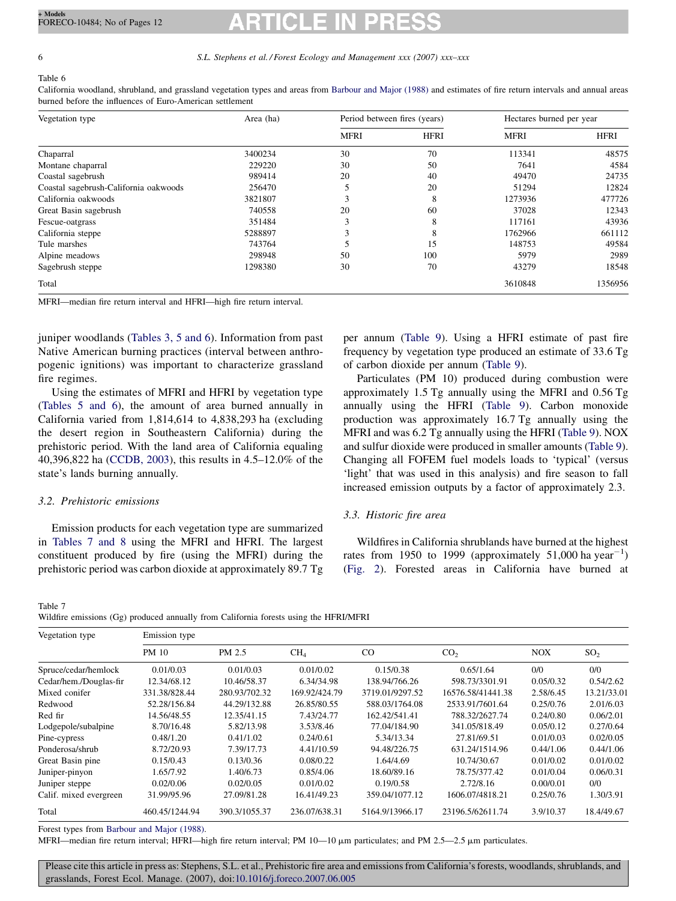#### Table 6

California woodland, shrubland, and grassland vegetation types and areas from [Barbour and Major \(1988\)](#page-9-0) and estimates of fire return intervals and annual areas burned before the influences of Euro-American settlement

| Vegetation type                       | Area (ha) |              | Period between fires (years) | Hectares burned per year |             |
|---------------------------------------|-----------|--------------|------------------------------|--------------------------|-------------|
|                                       |           | <b>MFRI</b>  | <b>HFRI</b>                  | <b>MFRI</b>              | <b>HFRI</b> |
| Chaparral                             | 3400234   | 30           | 70                           | 113341                   | 48575       |
| Montane chaparral                     | 229220    | 30           | 50                           | 7641                     | 4584        |
| Coastal sagebrush                     | 989414    | 20           | 40                           | 49470                    | 24735       |
| Coastal sagebrush-California oakwoods | 256470    |              | 20                           | 51294                    | 12824       |
| California oakwoods                   | 3821807   |              | 8                            | 1273936                  | 477726      |
| Great Basin sagebrush                 | 740558    | 20           | 60                           | 37028                    | 12343       |
| Fescue-oatgrass                       | 351484    | $\sim$<br>n, | 8                            | 117161                   | 43936       |
| California steppe                     | 5288897   |              | 8                            | 1762966                  | 661112      |
| Tule marshes                          | 743764    |              | 15                           | 148753                   | 49584       |
| Alpine meadows                        | 298948    | 50           | 100                          | 5979                     | 2989        |
| Sagebrush steppe                      | 1298380   | 30           | 70                           | 43279                    | 18548       |
| Total                                 |           |              |                              | 3610848                  | 1356956     |

MFRI—median fire return interval and HFRI—high fire return interval.

juniper woodlands ([Tables 3, 5 and 6\)](#page-2-0). Information from past Native American burning practices (interval between anthropogenic ignitions) was important to characterize grassland fire regimes.

Using the estimates of MFRI and HFRI by vegetation type ([Tables 5 and 6\)](#page-4-0), the amount of area burned annually in California varied from 1,814,614 to 4,838,293 ha (excluding the desert region in Southeastern California) during the prehistoric period. With the land area of California equaling 40,396,822 ha ([CCDB, 2003](#page-9-0)), this results in 4.5–12.0% of the state's lands burning annually.

#### 3.2. Prehistoric emissions

Emission products for each vegetation type are summarized in Tables 7 and 8 using the MFRI and HFRI. The largest constituent produced by fire (using the MFRI) during the prehistoric period was carbon dioxide at approximately 89.7 Tg per annum ([Table 9\)](#page-6-0). Using a HFRI estimate of past fire frequency by vegetation type produced an estimate of 33.6 Tg of carbon dioxide per annum [\(Table 9\)](#page-6-0).

Particulates (PM 10) produced during combustion were approximately 1.5 Tg annually using the MFRI and 0.56 Tg annually using the HFRI [\(Table 9\)](#page-6-0). Carbon monoxide production was approximately 16.7 Tg annually using the MFRI and was 6.2 Tg annually using the HFRI [\(Table 9\)](#page-6-0). NOX and sulfur dioxide were produced in smaller amounts ([Table 9\)](#page-6-0). Changing all FOFEM fuel models loads to 'typical' (versus 'light' that was used in this analysis) and fire season to fall increased emission outputs by a factor of approximately 2.3.

### 3.3. Historic fire area

Wildfires in California shrublands have burned at the highest rates from 1950 to 1999 (approximately 51,000 ha year<sup>-1</sup>) [\(Fig. 2\)](#page-6-0). Forested areas in California have burned at

Table 7

|  |  |  | Wildfire emissions (Gg) produced annually from California forests using the HFRI/MFRI |  |  |
|--|--|--|---------------------------------------------------------------------------------------|--|--|
|  |  |  |                                                                                       |  |  |

| Vegetation type        | Emission type  |               |                 |                 |                   |            |                 |  |  |  |
|------------------------|----------------|---------------|-----------------|-----------------|-------------------|------------|-----------------|--|--|--|
|                        | <b>PM 10</b>   | PM 2.5        | CH <sub>4</sub> | CO              | CO <sub>2</sub>   | <b>NOX</b> | SO <sub>2</sub> |  |  |  |
| Spruce/cedar/hemlock   | 0.01/0.03      | 0.01/0.03     | 0.01/0.02       | 0.15/0.38       | 0.65/1.64         | 0/0        | 0/0             |  |  |  |
| Cedar/hem./Douglas-fir | 12.34/68.12    | 10.46/58.37   | 6.34/34.98      | 138.94/766.26   | 598.73/3301.91    | 0.05/0.32  | 0.54/2.62       |  |  |  |
| Mixed conifer          | 331.38/828.44  | 280.93/702.32 | 169.92/424.79   | 3719.01/9297.52 | 16576.58/41441.38 | 2.58/6.45  | 13.21/33.01     |  |  |  |
| Redwood                | 52.28/156.84   | 44.29/132.88  | 26.85/80.55     | 588.03/1764.08  | 2533.91/7601.64   | 0.25/0.76  | 2.01/6.03       |  |  |  |
| Red fir                | 14.56/48.55    | 12.35/41.15   | 7.43/24.77      | 162.42/541.41   | 788.32/2627.74    | 0.24/0.80  | 0.06/2.01       |  |  |  |
| Lodgepole/subalpine    | 8.70/16.48     | 5.82/13.98    | 3.53/8.46       | 77.04/184.90    | 341.05/818.49     | 0.05/0.12  | 0.27/0.64       |  |  |  |
| Pine-cypress           | 0.48/1.20      | 0.41/1.02     | 0.24/0.61       | 5.34/13.34      | 27.81/69.51       | 0.01/0.03  | 0.02/0.05       |  |  |  |
| Ponderosa/shrub        | 8.72/20.93     | 7.39/17.73    | 4.41/10.59      | 94.48/226.75    | 631.24/1514.96    | 0.44/1.06  | 0.44/1.06       |  |  |  |
| Great Basin pine       | 0.15/0.43      | 0.13/0.36     | 0.08/0.22       | 1.64/4.69       | 10.74/30.67       | 0.01/0.02  | 0.01/0.02       |  |  |  |
| Juniper-pinyon         | 1.65/7.92      | 1.40/6.73     | 0.85/4.06       | 18.60/89.16     | 78.75/377.42      | 0.01/0.04  | 0.06/0.31       |  |  |  |
| Juniper steppe         | 0.02/0.06      | 0.02/0.05     | 0.01/0.02       | 0.19/0.58       | 2.72/8.16         | 0.00/0.01  | 0/0             |  |  |  |
| Calif. mixed evergreen | 31.99/95.96    | 27.09/81.28   | 16.41/49.23     | 359.04/1077.12  | 1606.07/4818.21   | 0.25/0.76  | 1.30/3.91       |  |  |  |
| Total                  | 460.45/1244.94 | 390.3/1055.37 | 236.07/638.31   | 5164.9/13966.17 | 23196.5/62611.74  | 3.9/10.37  | 18.4/49.67      |  |  |  |

Forest types from [Barbour and Major \(1988\).](#page-9-0)

MFRI—median fire return interval; HFRI—high fire return interval; PM  $10-10 \mu m$  particulates; and PM  $2.5-2.5 \mu m$  particulates.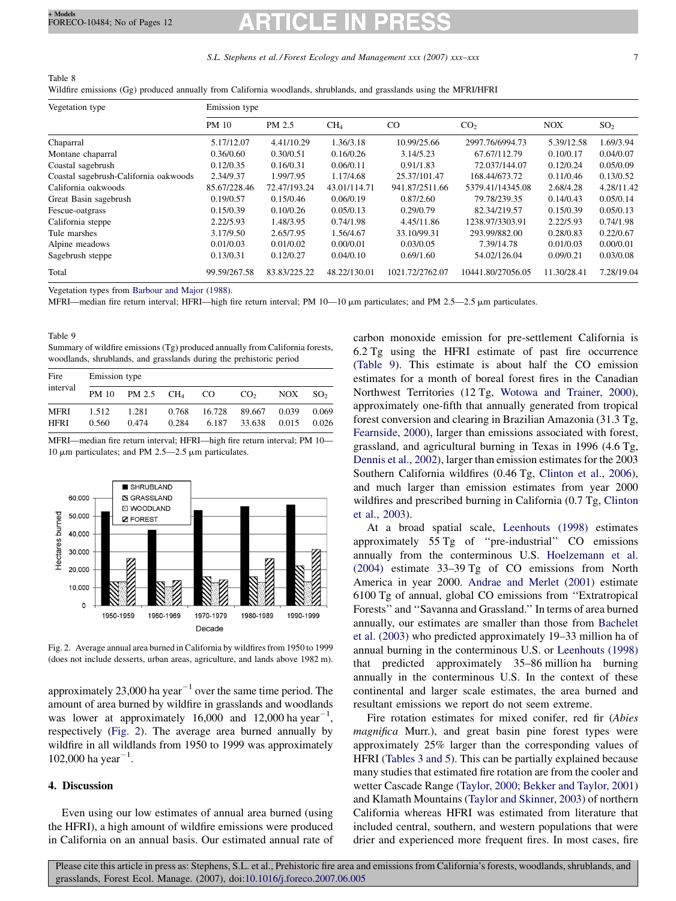<span id="page-6-0"></span>

| Table 8                                                                                                             |  |  |
|---------------------------------------------------------------------------------------------------------------------|--|--|
| Wildfire emissions (Gg) produced annually from California woodlands, shrublands, and grasslands using the MFRI/HFRI |  |  |

| Vegetation type                       | Emission type |              |                 |                 |                   |             |                 |  |  |
|---------------------------------------|---------------|--------------|-----------------|-----------------|-------------------|-------------|-----------------|--|--|
|                                       | <b>PM</b> 10  | PM 2.5       | CH <sub>4</sub> | $_{\rm CO}$     | CO <sub>2</sub>   | <b>NOX</b>  | SO <sub>2</sub> |  |  |
| Chaparral                             | 5.17/12.07    | 4.41/10.29   | 1.36/3.18       | 10.99/25.66     | 2997.76/6994.73   | 5.39/12.58  | 1.69/3.94       |  |  |
| Montane chaparral                     | 0.36/0.60     | 0.30/0.51    | 0.16/0.26       | 3.14/5.23       | 67.67/112.79      | 0.10/0.17   | 0.04/0.07       |  |  |
| Coastal sagebrush                     | 0.12/0.35     | 0.16/0.31    | 0.06/0.11       | 0.91/1.83       | 72.037/144.07     | 0.12/0.24   | 0.05/0.09       |  |  |
| Coastal sagebrush-California oakwoods | 2.34/9.37     | 1.99/7.95    | 1.17/4.68       | 25.37/101.47    | 168.44/673.72     | 0.11/0.46   | 0.13/0.52       |  |  |
| California oakwoods                   | 85.67/228.46  | 72.47/193.24 | 43.01/114.71    | 941.87/2511.66  | 5379.41/14345.08  | 2.68/4.28   | 4.28/11.42      |  |  |
| Great Basin sagebrush                 | 0.19/0.57     | 0.15/0.46    | 0.06/0.19       | 0.87/2.60       | 79.78/239.35      | 0.14/0.43   | 0.05/0.14       |  |  |
| Fescue-oatgrass                       | 0.15/0.39     | 0.10/0.26    | 0.05/0.13       | 0.29/0.79       | 82.34/219.57      | 0.15/0.39   | 0.05/0.13       |  |  |
| California steppe                     | 2.22/5.93     | 1.48/3.95    | 0.74/1.98       | 4.45/11.86      | 1238.97/3303.91   | 2.22/5.93   | 0.74/1.98       |  |  |
| Tule marshes                          | 3.17/9.50     | 2.65/7.95    | 1.56/4.67       | 33.10/99.31     | 293.99/882.00     | 0.28/0.83   | 0.22/0.67       |  |  |
| Alpine meadows                        | 0.01/0.03     | 0.01/0.02    | 0.00/0.01       | 0.03/0.05       | 7.39/14.78        | 0.01/0.03   | 0.00/0.01       |  |  |
| Sagebrush steppe                      | 0.13/0.31     | 0.12/0.27    | 0.04/0.10       | 0.69/1.60       | 54.02/126.04      | 0.09/0.21   | 0.03/0.08       |  |  |
| Total                                 | 99.59/267.58  | 83.83/225.22 | 48.22/130.01    | 1021.72/2762.07 | 10441.80/27056.05 | 11.30/28.41 | 7.28/19.04      |  |  |

Vegetation types from [Barbour and Major \(1988\)](#page-9-0).

MFRI—median fire return interval; HFRI—high fire return interval; PM  $10-10 \mu m$  particulates; and PM  $2.5-2.5 \mu m$  particulates.

Table 9 Summary of wildfire emissions (Tg) produced annually from California forests, woodlands, shrublands, and grasslands during the prehistoric period

| Fire<br>interval           | Emission type  |                              |                |                 |                  |                |                 |
|----------------------------|----------------|------------------------------|----------------|-----------------|------------------|----------------|-----------------|
|                            |                | PM 10 PM 2.5 CH <sub>4</sub> |                | $_{\rm CO}$     | CO <sub>2</sub>  | NOX.           | SO <sub>2</sub> |
| <b>MFRI</b><br><b>HFRI</b> | 1.512<br>0.560 | 1.281<br>0.474               | 0.768<br>0.284 | 16.728<br>6.187 | 89.667<br>33.638 | 0.039<br>0.015 | 0.069<br>0.026  |

MFRI—median fire return interval; HFRI—high fire return interval; PM 10— 10  $\mu$ m particulates; and PM 2.5–2.5  $\mu$ m particulates.



Fig. 2. Average annual area burned in California by wildfires from 1950 to 1999 (does not include desserts, urban areas, agriculture, and lands above 1982 m).

approximately 23,000 ha year $^{-1}$  over the same time period. The amount of area burned by wildfire in grasslands and woodlands was lower at approximately  $16,000$  and  $12,000$  ha year<sup>-1</sup>, respectively (Fig. 2). The average area burned annually by wildfire in all wildlands from 1950 to 1999 was approximately 102,000 ha year<sup>-1</sup>.

### 4. Discussion

Even using our low estimates of annual area burned (using the HFRI), a high amount of wildfire emissions were produced in California on an annual basis. Our estimated annual rate of carbon monoxide emission for pre-settlement California is 6.2 Tg using the HFRI estimate of past fire occurrence (Table 9). This estimate is about half the CO emission estimates for a month of boreal forest fires in the Canadian Northwest Territories (12 Tg, [Wotowa and Trainer, 2000\)](#page-11-0), approximately one-fifth that annually generated from tropical forest conversion and clearing in Brazilian Amazonia (31.3 Tg, [Fearnside, 2000\)](#page-9-0), larger than emissions associated with forest, grassland, and agricultural burning in Texas in 1996 (4.6 Tg, [Dennis et al., 2002](#page-9-0)), larger than emission estimates for the 2003 Southern California wildfires (0.46 Tg, [Clinton et al., 2006\)](#page-9-0), and much larger than emission estimates from year 2000 wildfires and prescribed burning in California (0.7 Tg, [Clinton](#page-9-0) [et al., 2003\)](#page-9-0).

At a broad spatial scale, [Leenhouts \(1998\)](#page-10-0) estimates approximately 55 Tg of ''pre-industrial'' CO emissions annually from the conterminous U.S. [Hoelzemann et al.](#page-9-0) [\(2004\)](#page-9-0) estimate 33–39 Tg of CO emissions from North America in year 2000. [Andrae and Merlet \(2001\)](#page-9-0) estimate 6100 Tg of annual, global CO emissions from ''Extratropical Forests'' and ''Savanna and Grassland.'' In terms of area burned annually, our estimates are smaller than those from [Bachelet](#page-9-0) [et al. \(2003\)](#page-9-0) who predicted approximately 19–33 million ha of annual burning in the conterminous U.S. or [Leenhouts \(1998\)](#page-10-0) that predicted approximately 35–86 million ha burning annually in the conterminous U.S. In the context of these continental and larger scale estimates, the area burned and resultant emissions we report do not seem extreme.

Fire rotation estimates for mixed conifer, red fir (Abies magnifica Murr.), and great basin pine forest types were approximately 25% larger than the corresponding values of HFRI ([Tables 3 and 5](#page-2-0)). This can be partially explained because many studies that estimated fire rotation are from the cooler and wetter Cascade Range ([Taylor, 2000; Bekker and Taylor, 2001](#page-11-0)) and Klamath Mountains ([Taylor and Skinner, 2003\)](#page-11-0) of northern California whereas HFRI was estimated from literature that included central, southern, and western populations that were drier and experienced more frequent fires. In most cases, fire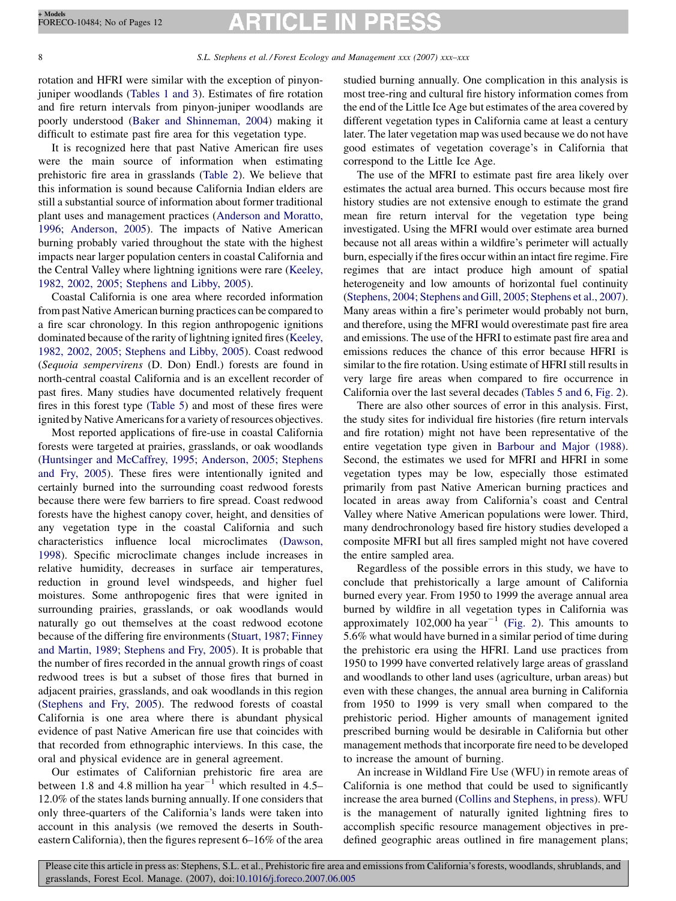### PR ARTICLE IN

rotation and HFRI were similar with the exception of pinyonjuniper woodlands ([Tables 1 and 3\)](#page-2-0). Estimates of fire rotation and fire return intervals from pinyon-juniper woodlands are poorly understood ([Baker and Shinneman, 2004\)](#page-9-0) making it difficult to estimate past fire area for this vegetation type.

It is recognized here that past Native American fire uses were the main source of information when estimating prehistoric fire area in grasslands [\(Table 2](#page-2-0)). We believe that this information is sound because California Indian elders are still a substantial source of information about former traditional plant uses and management practices ([Anderson and Moratto,](#page-9-0) [1996; Anderson, 2005](#page-9-0)). The impacts of Native American burning probably varied throughout the state with the highest impacts near larger population centers in coastal California and the Central Valley where lightning ignitions were rare ([Keeley,](#page-9-0) [1982, 2002, 2005; Stephens and Libby, 2005\)](#page-9-0).

Coastal California is one area where recorded information from past Native American burning practices can be compared to a fire scar chronology. In this region anthropogenic ignitions dominated because of the rarity of lightning ignited fires [\(Keeley,](#page-9-0) [1982, 2002, 2005; Stephens and Libby, 2005](#page-9-0)). Coast redwood (Sequoia sempervirens (D. Don) Endl.) forests are found in north-central coastal California and is an excellent recorder of past fires. Many studies have documented relatively frequent fires in this forest type [\(Table 5\)](#page-4-0) and most of these fires were ignited by Native Americans for a variety of resources objectives.

Most reported applications of fire-use in coastal California forests were targeted at prairies, grasslands, or oak woodlands ([Huntsinger and McCaffrey, 1995; Anderson, 2005; Stephens](#page-9-0) [and Fry, 2005](#page-9-0)). These fires were intentionally ignited and certainly burned into the surrounding coast redwood forests because there were few barriers to fire spread. Coast redwood forests have the highest canopy cover, height, and densities of any vegetation type in the coastal California and such characteristics influence local microclimates ([Dawson,](#page-9-0) [1998\)](#page-9-0). Specific microclimate changes include increases in relative humidity, decreases in surface air temperatures, reduction in ground level windspeeds, and higher fuel moistures. Some anthropogenic fires that were ignited in surrounding prairies, grasslands, or oak woodlands would naturally go out themselves at the coast redwood ecotone because of the differing fire environments ([Stuart, 1987; Finney](#page-11-0) [and Martin, 1989; Stephens and Fry, 2005](#page-11-0)). It is probable that the number of fires recorded in the annual growth rings of coast redwood trees is but a subset of those fires that burned in adjacent prairies, grasslands, and oak woodlands in this region ([Stephens and Fry, 2005](#page-10-0)). The redwood forests of coastal California is one area where there is abundant physical evidence of past Native American fire use that coincides with that recorded from ethnographic interviews. In this case, the oral and physical evidence are in general agreement.

Our estimates of Californian prehistoric fire area are between 1.8 and 4.8 million ha year<sup> $^{-1}$ </sup> which resulted in 4.5– 12.0% of the states lands burning annually. If one considers that only three-quarters of the California's lands were taken into account in this analysis (we removed the deserts in Southeastern California), then the figures represent 6–16% of the area

studied burning annually. One complication in this analysis is most tree-ring and cultural fire history information comes from the end of the Little Ice Age but estimates of the area covered by different vegetation types in California came at least a century later. The later vegetation map was used because we do not have good estimates of vegetation coverage's in California that correspond to the Little Ice Age.

The use of the MFRI to estimate past fire area likely over estimates the actual area burned. This occurs because most fire history studies are not extensive enough to estimate the grand mean fire return interval for the vegetation type being investigated. Using the MFRI would over estimate area burned because not all areas within a wildfire's perimeter will actually burn, especially if the fires occur within an intact fire regime. Fire regimes that are intact produce high amount of spatial heterogeneity and low amounts of horizontal fuel continuity [\(Stephens, 2004; Stephens and Gill, 2005; Stephens et al., 2007\)](#page-10-0). Many areas within a fire's perimeter would probably not burn, and therefore, using the MFRI would overestimate past fire area and emissions. The use of the HFRI to estimate past fire area and emissions reduces the chance of this error because HFRI is similar to the fire rotation. Using estimate of HFRI still results in very large fire areas when compared to fire occurrence in California over the last several decades ([Tables 5 and 6](#page-4-0), [Fig. 2\)](#page-6-0).

There are also other sources of error in this analysis. First, the study sites for individual fire histories (fire return intervals and fire rotation) might not have been representative of the entire vegetation type given in [Barbour and Major \(1988\)](#page-9-0). Second, the estimates we used for MFRI and HFRI in some vegetation types may be low, especially those estimated primarily from past Native American burning practices and located in areas away from California's coast and Central Valley where Native American populations were lower. Third, many dendrochronology based fire history studies developed a composite MFRI but all fires sampled might not have covered the entire sampled area.

Regardless of the possible errors in this study, we have to conclude that prehistorically a large amount of California burned every year. From 1950 to 1999 the average annual area burned by wildfire in all vegetation types in California was approximately  $102,000$  ha year<sup>-1</sup> ([Fig. 2](#page-6-0)). This amounts to 5.6% what would have burned in a similar period of time during the prehistoric era using the HFRI. Land use practices from 1950 to 1999 have converted relatively large areas of grassland and woodlands to other land uses (agriculture, urban areas) but even with these changes, the annual area burning in California from 1950 to 1999 is very small when compared to the prehistoric period. Higher amounts of management ignited prescribed burning would be desirable in California but other management methods that incorporate fire need to be developed to increase the amount of burning.

An increase in Wildland Fire Use (WFU) in remote areas of California is one method that could be used to significantly increase the area burned [\(Collins and Stephens, in press\)](#page-9-0). WFU is the management of naturally ignited lightning fires to accomplish specific resource management objectives in predefined geographic areas outlined in fire management plans;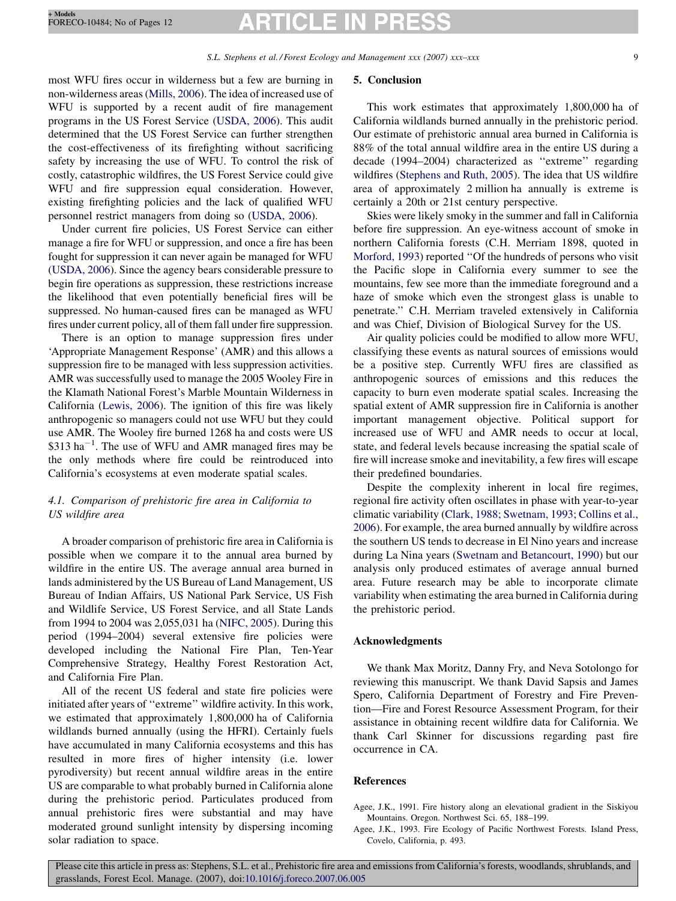### P: RTICLE IN

<span id="page-8-0"></span>most WFU fires occur in wilderness but a few are burning in non-wilderness areas [\(Mills, 2006\)](#page-10-0). The idea of increased use of WFU is supported by a recent audit of fire management programs in the US Forest Service ([USDA, 2006](#page-11-0)). This audit determined that the US Forest Service can further strengthen the cost-effectiveness of its firefighting without sacrificing safety by increasing the use of WFU. To control the risk of costly, catastrophic wildfires, the US Forest Service could give WFU and fire suppression equal consideration. However, existing firefighting policies and the lack of qualified WFU personnel restrict managers from doing so ([USDA, 2006](#page-11-0)).

Under current fire policies, US Forest Service can either manage a fire for WFU or suppression, and once a fire has been fought for suppression it can never again be managed for WFU ([USDA, 2006](#page-11-0)). Since the agency bears considerable pressure to begin fire operations as suppression, these restrictions increase the likelihood that even potentially beneficial fires will be suppressed. No human-caused fires can be managed as WFU fires under current policy, all of them fall under fire suppression.

There is an option to manage suppression fires under 'Appropriate Management Response' (AMR) and this allows a suppression fire to be managed with less suppression activities. AMR was successfully used to manage the 2005 Wooley Fire in the Klamath National Forest's Marble Mountain Wilderness in California [\(Lewis, 2006\)](#page-10-0). The ignition of this fire was likely anthropogenic so managers could not use WFU but they could use AMR. The Wooley fire burned 1268 ha and costs were US  $$313$  ha<sup>-1</sup>. The use of WFU and AMR managed fires may be the only methods where fire could be reintroduced into California's ecosystems at even moderate spatial scales.

### 4.1. Comparison of prehistoric fire area in California to US wildfire area

A broader comparison of prehistoric fire area in California is possible when we compare it to the annual area burned by wildfire in the entire US. The average annual area burned in lands administered by the US Bureau of Land Management, US Bureau of Indian Affairs, US National Park Service, US Fish and Wildlife Service, US Forest Service, and all State Lands from 1994 to 2004 was 2,055,031 ha [\(NIFC, 2005\)](#page-10-0). During this period (1994–2004) several extensive fire policies were developed including the National Fire Plan, Ten-Year Comprehensive Strategy, Healthy Forest Restoration Act, and California Fire Plan.

All of the recent US federal and state fire policies were initiated after years of ''extreme'' wildfire activity. In this work, we estimated that approximately 1,800,000 ha of California wildlands burned annually (using the HFRI). Certainly fuels have accumulated in many California ecosystems and this has resulted in more fires of higher intensity (i.e. lower pyrodiversity) but recent annual wildfire areas in the entire US are comparable to what probably burned in California alone during the prehistoric period. Particulates produced from annual prehistoric fires were substantial and may have moderated ground sunlight intensity by dispersing incoming solar radiation to space.

#### 5. Conclusion

This work estimates that approximately 1,800,000 ha of California wildlands burned annually in the prehistoric period. Our estimate of prehistoric annual area burned in California is 88% of the total annual wildfire area in the entire US during a decade (1994–2004) characterized as ''extreme'' regarding wildfires [\(Stephens and Ruth, 2005\)](#page-10-0). The idea that US wildfire area of approximately 2 million ha annually is extreme is certainly a 20th or 21st century perspective.

Skies were likely smoky in the summer and fall in California before fire suppression. An eye-witness account of smoke in northern California forests (C.H. Merriam 1898, quoted in [Morford, 1993\)](#page-10-0) reported ''Of the hundreds of persons who visit the Pacific slope in California every summer to see the mountains, few see more than the immediate foreground and a haze of smoke which even the strongest glass is unable to penetrate.'' C.H. Merriam traveled extensively in California and was Chief, Division of Biological Survey for the US.

Air quality policies could be modified to allow more WFU, classifying these events as natural sources of emissions would be a positive step. Currently WFU fires are classified as anthropogenic sources of emissions and this reduces the capacity to burn even moderate spatial scales. Increasing the spatial extent of AMR suppression fire in California is another important management objective. Political support for increased use of WFU and AMR needs to occur at local, state, and federal levels because increasing the spatial scale of fire will increase smoke and inevitability, a few fires will escape their predefined boundaries.

Despite the complexity inherent in local fire regimes, regional fire activity often oscillates in phase with year-to-year climatic variability [\(Clark, 1988; Swetnam, 1993; Collins et al.,](#page-9-0) [2006](#page-9-0)). For example, the area burned annually by wildfire across the southern US tends to decrease in El Nino years and increase during La Nina years [\(Swetnam and Betancourt, 1990](#page-11-0)) but our analysis only produced estimates of average annual burned area. Future research may be able to incorporate climate variability when estimating the area burned in California during the prehistoric period.

#### Acknowledgments

We thank Max Moritz, Danny Fry, and Neva Sotolongo for reviewing this manuscript. We thank David Sapsis and James Spero, California Department of Forestry and Fire Prevention—Fire and Forest Resource Assessment Program, for their assistance in obtaining recent wildfire data for California. We thank Carl Skinner for discussions regarding past fire occurrence in CA.

#### References

Agee, J.K., 1991. Fire history along an elevational gradient in the Siskiyou Mountains. Oregon. Northwest Sci. 65, 188–199.

Agee, J.K., 1993. Fire Ecology of Pacific Northwest Forests. Island Press, Covelo, California, p. 493.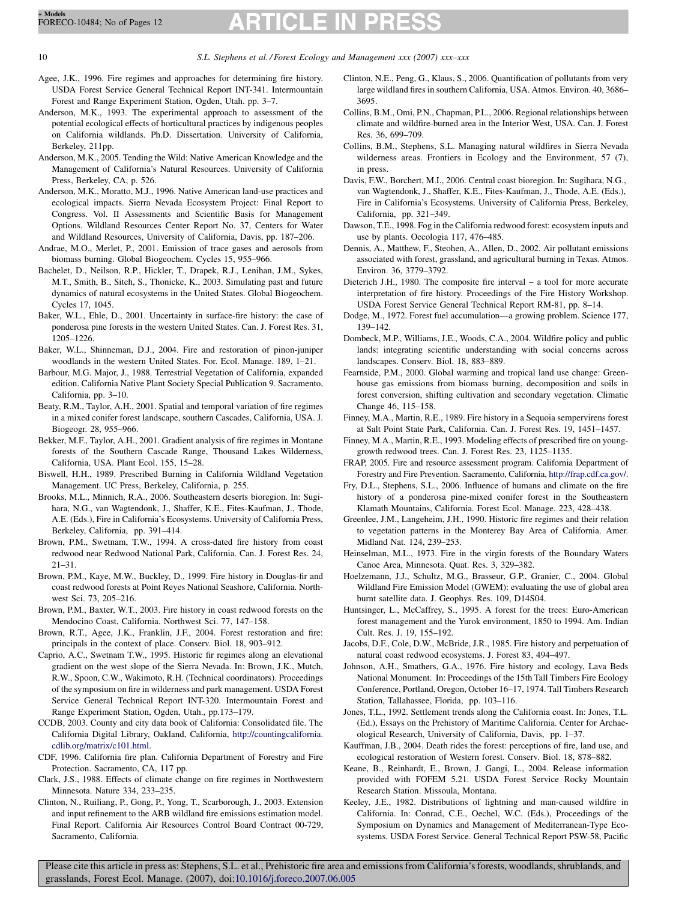# RTICLE IN

- Agee, J.K., 1996. Fire regimes and approaches for determining fire history. USDA Forest Service General Technical Report INT-341. Intermountain Forest and Range Experiment Station, Ogden, Utah. pp. 3–7.
- Anderson, M.K., 1993. The experimental approach to assessment of the potential ecological effects of horticultural practices by indigenous peoples on California wildlands. Ph.D. Dissertation. University of California, Berkeley, 211pp.
- Anderson, M.K., 2005. Tending the Wild: Native American Knowledge and the Management of California's Natural Resources. University of California Press, Berkeley, CA, p. 526.
- Anderson, M.K., Moratto, M.J., 1996. Native American land-use practices and ecological impacts. Sierra Nevada Ecosystem Project: Final Report to Congress. Vol. II Assessments and Scientific Basis for Management Options. Wildland Resources Center Report No. 37, Centers for Water and Wildland Resources, University of California, Davis, pp. 187–206.
- Andrae, M.O., Merlet, P., 2001. Emission of trace gases and aerosols from biomass burning. Global Biogeochem. Cycles 15, 955–966.
- Bachelet, D., Neilson, R.P., Hickler, T., Drapek, R.J., Lenihan, J.M., Sykes, M.T., Smith, B., Sitch, S., Thonicke, K., 2003. Simulating past and future dynamics of natural ecosystems in the United States. Global Biogeochem. Cycles 17, 1045.
- Baker, W.L., Ehle, D., 2001. Uncertainty in surface-fire history: the case of ponderosa pine forests in the western United States. Can. J. Forest Res. 31, 1205–1226.
- Baker, W.L., Shinneman, D.J., 2004. Fire and restoration of pinon-juniper woodlands in the western United States. For. Ecol. Manage. 189, 1–21.
- Barbour, M.G. Major, J., 1988. Terrestrial Vegetation of California, expanded edition. California Native Plant Society Special Publication 9. Sacramento, California, pp. 3–10.
- Beaty, R.M., Taylor, A.H., 2001. Spatial and temporal variation of fire regimes in a mixed conifer forest landscape, southern Cascades, California, USA. J. Biogeogr. 28, 955–966.
- Bekker, M.F., Taylor, A.H., 2001. Gradient analysis of fire regimes in Montane forests of the Southern Cascade Range, Thousand Lakes Wilderness, California, USA. Plant Ecol. 155, 15–28.
- Biswell, H.H., 1989. Prescribed Burning in California Wildland Vegetation Management. UC Press, Berkeley, California, p. 255.
- Brooks, M.L., Minnich, R.A., 2006. Southeastern deserts bioregion. In: Sugihara, N.G., van Wagtendonk, J., Shaffer, K.E., Fites-Kaufman, J., Thode, A.E. (Eds.), Fire in California's Ecosystems. University of California Press, Berkeley, California, pp. 391–414.
- Brown, P.M., Swetnam, T.W., 1994. A cross-dated fire history from coast redwood near Redwood National Park, California. Can. J. Forest Res. 24, 21–31.
- Brown, P.M., Kaye, M.W., Buckley, D., 1999. Fire history in Douglas-fir and coast redwood forests at Point Reyes National Seashore, California. Northwest Sci. 73, 205–216.
- Brown, P.M., Baxter, W.T., 2003. Fire history in coast redwood forests on the Mendocino Coast, California. Northwest Sci. 77, 147–158.
- Brown, R.T., Agee, J.K., Franklin, J.F., 2004. Forest restoration and fire: principals in the context of place. Conserv. Biol. 18, 903–912.
- Caprio, A.C., Swetnam T.W., 1995. Historic fir regimes along an elevational gradient on the west slope of the Sierra Nevada. In: Brown, J.K., Mutch, R.W., Spoon, C.W., Wakimoto, R.H. (Technical coordinators). Proceedings of the symposium on fire in wilderness and park management. USDA Forest Service General Technical Report INT-320. Intermountain Forest and Range Experiment Station, Ogden, Utah., pp.173–179.
- CCDB, 2003. County and city data book of California: Consolidated file. The California Digital Library, Oakland, California, [http://countingcalifornia.](http://countingcalifornia.cdlib.org/matrix/c101.html) [cdlib.org/matrix/c101.html](http://countingcalifornia.cdlib.org/matrix/c101.html).
- CDF, 1996. California fire plan. California Department of Forestry and Fire Protection. Sacramento, CA, 117 pp.
- Clark, J.S., 1988. Effects of climate change on fire regimes in Northwestern Minnesota. Nature 334, 233–235.
- Clinton, N., Ruiliang, P., Gong, P., Yong, T., Scarborough, J., 2003. Extension and input refinement to the ARB wildland fire emissions estimation model. Final Report. California Air Resources Control Board Contract 00-729, Sacramento, California.
- Clinton, N.E., Peng, G., Klaus, S., 2006. Quantification of pollutants from very large wildland fires in southern California, USA. Atmos. Environ. 40, 3686– 3695.
- Collins, B.M., Omi, P.N., Chapman, P.L., 2006. Regional relationships between climate and wildfire-burned area in the Interior West, USA. Can. J. Forest Res. 36, 699–709.
- Collins, B.M., Stephens, S.L. Managing natural wildfires in Sierra Nevada wilderness areas. Frontiers in Ecology and the Environment, 57 (7), in press.
- Davis, F.W., Borchert, M.I., 2006. Central coast bioregion. In: Sugihara, N.G., van Wagtendonk, J., Shaffer, K.E., Fites-Kaufman, J., Thode, A.E. (Eds.), Fire in California's Ecosystems. University of California Press, Berkeley, California, pp. 321–349.
- Dawson, T.E., 1998. Fog in the California redwood forest: ecosystem inputs and use by plants. Oecologia 117, 476–485.
- Dennis, A., Matthew, F., Steohen, A., Allen, D., 2002. Air pollutant emissions associated with forest, grassland, and agricultural burning in Texas. Atmos. Environ. 36, 3779–3792.
- Dieterich J.H., 1980. The composite fire interval a tool for more accurate interpretation of fire history. Proceedings of the Fire History Workshop. USDA Forest Service General Technical Report RM-81, pp. 8–14.
- Dodge, M., 1972. Forest fuel accumulation—a growing problem. Science 177, 139–142.
- Dombeck, M.P., Williams, J.E., Woods, C.A., 2004. Wildfire policy and public lands: integrating scientific understanding with social concerns across landscapes. Conserv. Biol. 18, 883–889.
- Fearnside, P.M., 2000. Global warming and tropical land use change: Greenhouse gas emissions from biomass burning, decomposition and soils in forest conversion, shifting cultivation and secondary vegetation. Climatic Change 46, 115–158.
- Finney, M.A., Martin, R.E., 1989. Fire history in a Sequoia sempervirens forest at Salt Point State Park, California. Can. J. Forest Res. 19, 1451–1457.
- Finney, M.A., Martin, R.E., 1993. Modeling effects of prescribed fire on younggrowth redwood trees. Can. J. Forest Res. 23, 1125–1135.
- FRAP, 2005. Fire and resource assessment program. California Department of Forestry and Fire Prevention. Sacramento, California, [http://frap.cdf.ca.gov/.](http://frap.cdf.ca.gov/)
- Fry, D.L., Stephens, S.L., 2006. Influence of humans and climate on the fire history of a ponderosa pine-mixed conifer forest in the Southeastern Klamath Mountains, California. Forest Ecol. Manage. 223, 428–438.
- Greenlee, J.M., Langeheim, J.H., 1990. Historic fire regimes and their relation to vegetation patterns in the Monterey Bay Area of California. Amer. Midland Nat. 124, 239–253.
- Heinselman, M.L., 1973. Fire in the virgin forests of the Boundary Waters Canoe Area, Minnesota. Quat. Res. 3, 329–382.
- Hoelzemann, J.J., Schultz, M.G., Brasseur, G.P., Granier, C., 2004. Global Wildland Fire Emission Model (GWEM): evaluating the use of global area burnt satellite data. J. Geophys. Res. 109, D14S04.
- Huntsinger, L., McCaffrey, S., 1995. A forest for the trees: Euro-American forest management and the Yurok environment, 1850 to 1994. Am. Indian Cult. Res. J. 19, 155–192.
- Jacobs, D.F., Cole, D.W., McBride, J.R., 1985. Fire history and perpetuation of natural coast redwood ecosystems. J. Forest 83, 494–497.
- Johnson, A.H., Smathers, G.A., 1976. Fire history and ecology, Lava Beds National Monument. In: Proceedings of the 15th Tall Timbers Fire Ecology Conference, Portland, Oregon, October 16–17, 1974. Tall Timbers Research Station, Tallahassee, Florida, pp. 103–116.
- Jones, T.L., 1992. Settlement trends along the California coast. In: Jones, T.L. (Ed.), Essays on the Prehistory of Maritime California. Center for Archaeological Research, University of California, Davis, pp. 1–37.
- Kauffman, J.B., 2004. Death rides the forest: perceptions of fire, land use, and ecological restoration of Western forest. Conserv. Biol. 18, 878–882.
- Keane, B., Reinhardt, E., Brown, J. Gangi, L., 2004. Release information provided with FOFEM 5.21. USDA Forest Service Rocky Mountain Research Station. Missoula, Montana.
- Keeley, J.E., 1982. Distributions of lightning and man-caused wildfire in California. In: Conrad, C.E., Oechel, W.C. (Eds.), Proceedings of the Symposium on Dynamics and Management of Mediterranean-Type Ecosystems. USDA Forest Service. General Technical Report PSW-58, Pacific

<span id="page-9-0"></span>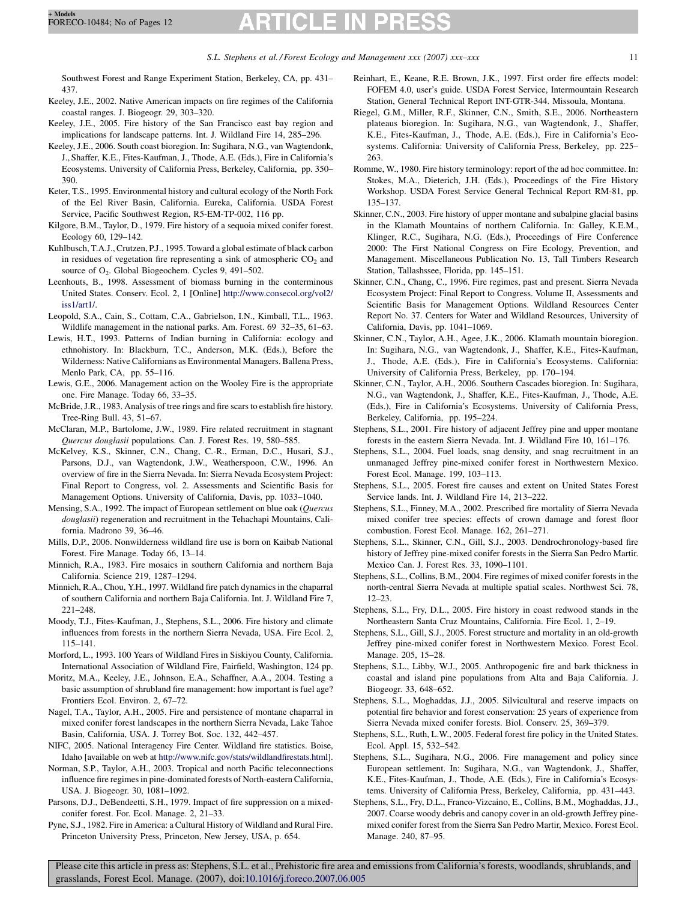## **RTICLE IN**

<span id="page-10-0"></span>Southwest Forest and Range Experiment Station, Berkeley, CA, pp. 431– 437.

- Keeley, J.E., 2002. Native American impacts on fire regimes of the California coastal ranges. J. Biogeogr. 29, 303–320.
- Keeley, J.E., 2005. Fire history of the San Francisco east bay region and implications for landscape patterns. Int. J. Wildland Fire 14, 285–296.
- Keeley, J.E., 2006. South coast bioregion. In: Sugihara, N.G., van Wagtendonk, J., Shaffer, K.E., Fites-Kaufman, J., Thode, A.E. (Eds.), Fire in California's Ecosystems. University of California Press, Berkeley, California, pp. 350– 390.
- Keter, T.S., 1995. Environmental history and cultural ecology of the North Fork of the Eel River Basin, California. Eureka, California. USDA Forest Service, Pacific Southwest Region, R5-EM-TP-002, 116 pp.
- Kilgore, B.M., Taylor, D., 1979. Fire history of a sequoia mixed conifer forest. Ecology 60, 129–142.
- Kuhlbusch, T.A.J., Crutzen, P.J., 1995. Toward a global estimate of black carbon in residues of vegetation fire representing a sink of atmospheric  $CO<sub>2</sub>$  and source of  $O<sub>2</sub>$ . Global Biogeochem. Cycles 9, 491–502.
- Leenhouts, B., 1998. Assessment of biomass burning in the conterminous United States. Conserv. Ecol. 2, 1 [Online] [http://www.consecol.org/vol2/](http://www.consecol.org/vol2/iss1/art1/) [iss1/art1/.](http://www.consecol.org/vol2/iss1/art1/)
- Leopold, S.A., Cain, S., Cottam, C.A., Gabrielson, I.N., Kimball, T.L., 1963. Wildlife management in the national parks. Am. Forest. 69 32–35, 61–63.
- Lewis, H.T., 1993. Patterns of Indian burning in California: ecology and ethnohistory. In: Blackburn, T.C., Anderson, M.K. (Eds.), Before the Wilderness: Native Californians as Environmental Managers. Ballena Press, Menlo Park, CA, pp. 55–116.
- Lewis, G.E., 2006. Management action on the Wooley Fire is the appropriate one. Fire Manage. Today 66, 33–35.
- McBride, J.R., 1983. Analysis of tree rings and fire scars to establish fire history. Tree-Ring Bull. 43, 51–67.
- McClaran, M.P., Bartolome, J.W., 1989. Fire related recruitment in stagnant Quercus douglasii populations. Can. J. Forest Res. 19, 580–585.
- McKelvey, K.S., Skinner, C.N., Chang, C.-R., Erman, D.C., Husari, S.J., Parsons, D.J., van Wagtendonk, J.W., Weatherspoon, C.W., 1996. An overview of fire in the Sierra Nevada. In: Sierra Nevada Ecosystem Project: Final Report to Congress, vol. 2. Assessments and Scientific Basis for Management Options. University of California, Davis, pp. 1033–1040.
- Mensing, S.A., 1992. The impact of European settlement on blue oak (Ouercus douglasii) regeneration and recruitment in the Tehachapi Mountains, California. Madrono 39, 36–46.
- Mills, D.P., 2006. Nonwilderness wildland fire use is born on Kaibab National Forest. Fire Manage. Today 66, 13–14.
- Minnich, R.A., 1983. Fire mosaics in southern California and northern Baja California. Science 219, 1287–1294.
- Minnich, R.A., Chou, Y.H., 1997. Wildland fire patch dynamics in the chaparral of southern California and northern Baja California. Int. J. Wildland Fire 7, 221–248.
- Moody, T.J., Fites-Kaufman, J., Stephens, S.L., 2006. Fire history and climate influences from forests in the northern Sierra Nevada, USA. Fire Ecol. 2, 115–141.
- Morford, L., 1993. 100 Years of Wildland Fires in Siskiyou County, California. International Association of Wildland Fire, Fairfield, Washington, 124 pp.
- Moritz, M.A., Keeley, J.E., Johnson, E.A., Schaffner, A.A., 2004. Testing a basic assumption of shrubland fire management: how important is fuel age? Frontiers Ecol. Environ. 2, 67–72.
- Nagel, T.A., Taylor, A.H., 2005. Fire and persistence of montane chaparral in mixed conifer forest landscapes in the northern Sierra Nevada, Lake Tahoe Basin, California, USA. J. Torrey Bot. Soc. 132, 442–457.
- NIFC, 2005. National Interagency Fire Center. Wildland fire statistics. Boise, Idaho [available on web at <http://www.nifc.gov/stats/wildlandfirestats.html>].
- Norman, S.P., Taylor, A.H., 2003. Tropical and north Pacific teleconnections influence fire regimes in pine-dominated forests of North-eastern California, USA. J. Biogeogr. 30, 1081–1092.
- Parsons, D.J., DeBendeetti, S.H., 1979. Impact of fire suppression on a mixedconifer forest. For. Ecol. Manage. 2, 21–33.
- Pyne, S.J., 1982. Fire in America: a Cultural History of Wildland and Rural Fire. Princeton University Press, Princeton, New Jersey, USA, p. 654.
- Reinhart, E., Keane, R.E. Brown, J.K., 1997. First order fire effects model: FOFEM 4.0, user's guide. USDA Forest Service, Intermountain Research Station, General Technical Report INT-GTR-344. Missoula, Montana.
- Riegel, G.M., Miller, R.F., Skinner, C.N., Smith, S.E., 2006. Northeastern plateaus bioregion. In: Sugihara, N.G., van Wagtendonk, J., Shaffer, K.E., Fites-Kaufman, J., Thode, A.E. (Eds.), Fire in California's Ecosystems. California: University of California Press, Berkeley, pp. 225– 263.
- Romme, W., 1980. Fire history terminology: report of the ad hoc committee. In: Stokes, M.A., Dieterich, J.H. (Eds.), Proceedings of the Fire History Workshop. USDA Forest Service General Technical Report RM-81, pp. 135–137.
- Skinner, C.N., 2003. Fire history of upper montane and subalpine glacial basins in the Klamath Mountains of northern California. In: Galley, K.E.M., Klinger, R.C., Sugihara, N.G. (Eds.), Proceedings of Fire Conference 2000: The First National Congress on Fire Ecology, Prevention, and Management. Miscellaneous Publication No. 13, Tall Timbers Research Station, Tallashssee, Florida, pp. 145–151.
- Skinner, C.N., Chang, C., 1996. Fire regimes, past and present. Sierra Nevada Ecosystem Project: Final Report to Congress. Volume II, Assessments and Scientific Basis for Management Options. Wildland Resources Center Report No. 37. Centers for Water and Wildland Resources, University of California, Davis, pp. 1041–1069.
- Skinner, C.N., Taylor, A.H., Agee, J.K., 2006. Klamath mountain bioregion. In: Sugihara, N.G., van Wagtendonk, J., Shaffer, K.E., Fites-Kaufman, J., Thode, A.E. (Eds.), Fire in California's Ecosystems. California: University of California Press, Berkeley, pp. 170–194.
- Skinner, C.N., Taylor, A.H., 2006. Southern Cascades bioregion. In: Sugihara, N.G., van Wagtendonk, J., Shaffer, K.E., Fites-Kaufman, J., Thode, A.E. (Eds.), Fire in California's Ecosystems. University of California Press, Berkeley, California, pp. 195–224.
- Stephens, S.L., 2001. Fire history of adjacent Jeffrey pine and upper montane forests in the eastern Sierra Nevada. Int. J. Wildland Fire 10, 161–176.
- Stephens, S.L., 2004. Fuel loads, snag density, and snag recruitment in an unmanaged Jeffrey pine-mixed conifer forest in Northwestern Mexico. Forest Ecol. Manage. 199, 103–113.
- Stephens, S.L., 2005. Forest fire causes and extent on United States Forest Service lands. Int. J. Wildland Fire 14, 213–222.
- Stephens, S.L., Finney, M.A., 2002. Prescribed fire mortality of Sierra Nevada mixed conifer tree species: effects of crown damage and forest floor combustion. Forest Ecol. Manage. 162, 261–271.
- Stephens, S.L., Skinner, C.N., Gill, S.J., 2003. Dendrochronology-based fire history of Jeffrey pine-mixed conifer forests in the Sierra San Pedro Martir. Mexico Can. J. Forest Res. 33, 1090–1101.
- Stephens, S.L., Collins, B.M., 2004. Fire regimes of mixed conifer forests in the north-central Sierra Nevada at multiple spatial scales. Northwest Sci. 78,  $12 - 23$
- Stephens, S.L., Fry, D.L., 2005. Fire history in coast redwood stands in the Northeastern Santa Cruz Mountains, California. Fire Ecol. 1, 2–19.
- Stephens, S.L., Gill, S.J., 2005. Forest structure and mortality in an old-growth Jeffrey pine-mixed conifer forest in Northwestern Mexico. Forest Ecol. Manage. 205, 15–28.
- Stephens, S.L., Libby, W.J., 2005. Anthropogenic fire and bark thickness in coastal and island pine populations from Alta and Baja California. J. Biogeogr. 33, 648–652.
- Stephens, S.L., Moghaddas, J.J., 2005. Silvicultural and reserve impacts on potential fire behavior and forest conservation: 25 years of experience from Sierra Nevada mixed conifer forests. Biol. Conserv. 25, 369–379.
- Stephens, S.L., Ruth, L.W., 2005. Federal forest fire policy in the United States. Ecol. Appl. 15, 532–542.
- Stephens, S.L., Sugihara, N.G., 2006. Fire management and policy since European settlement. In: Sugihara, N.G., van Wagtendonk, J., Shaffer, K.E., Fites-Kaufman, J., Thode, A.E. (Eds.), Fire in California's Ecosystems. University of California Press, Berkeley, California, pp. 431–443.
- Stephens, S.L., Fry, D.L., Franco-Vizcaino, E., Collins, B.M., Moghaddas, J.J., 2007. Coarse woody debris and canopy cover in an old-growth Jeffrey pinemixed conifer forest from the Sierra San Pedro Martir, Mexico. Forest Ecol. Manage. 240, 87–95.